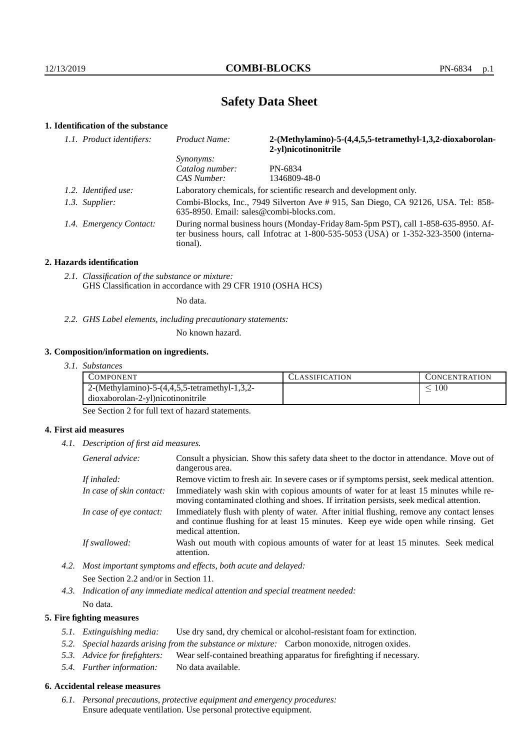# **Safety Data Sheet**

# **1. Identification of the substance**

|  | 1.1. Product identifiers: | Product Name:                                                                                                                                                                               | 2-(Methylamino)-5-(4,4,5,5-tetramethyl-1,3,2-dioxaborolan-<br>2-yl)nicotinonitrile                                            |
|--|---------------------------|---------------------------------------------------------------------------------------------------------------------------------------------------------------------------------------------|-------------------------------------------------------------------------------------------------------------------------------|
|  |                           | Synonyms:                                                                                                                                                                                   |                                                                                                                               |
|  |                           | Catalog number:                                                                                                                                                                             | PN-6834                                                                                                                       |
|  |                           | CAS Number:                                                                                                                                                                                 | 1346809-48-0                                                                                                                  |
|  | 1.2. Identified use:      | Laboratory chemicals, for scientific research and development only.                                                                                                                         |                                                                                                                               |
|  | 1.3. Supplier:            |                                                                                                                                                                                             | Combi-Blocks, Inc., 7949 Silverton Ave # 915, San Diego, CA 92126, USA. Tel: 858-<br>635-8950. Email: sales@combi-blocks.com. |
|  | 1.4. Emergency Contact:   | During normal business hours (Monday-Friday 8am-5pm PST), call 1-858-635-8950. Af-<br>ter business hours, call Infotrac at $1-800-535-5053$ (USA) or $1-352-323-3500$ (interna-<br>tional). |                                                                                                                               |

#### **2. Hazards identification**

*2.1. Classification of the substance or mixture:* GHS Classification in accordance with 29 CFR 1910 (OSHA HCS)

No data.

*2.2. GHS Label elements, including precautionary statements:*

No known hazard.

#### **3. Composition/information on ingredients.**

*3.1. Substances*

| COMPONENT                                                  | <b>CLASSIFICATION</b> | <b>CONCENTRATION</b> |
|------------------------------------------------------------|-----------------------|----------------------|
| 2. (Methylamino) - 5 - (4, 4, 5, 5 - tetramethyl - 1, 3, 2 |                       | 100                  |
| dioxaborolan-2-yl)nicotinonitrile                          |                       |                      |

See Section 2 for full text of hazard statements.

## **4. First aid measures**

*4.1. Description of first aid measures.*

| General advice:          | Consult a physician. Show this safety data sheet to the doctor in attendance. Move out of<br>dangerous area.                                                                                            |
|--------------------------|---------------------------------------------------------------------------------------------------------------------------------------------------------------------------------------------------------|
| If inhaled:              | Remove victim to fresh air. In severe cases or if symptoms persist, seek medical attention.                                                                                                             |
| In case of skin contact: | Immediately wash skin with copious amounts of water for at least 15 minutes while re-<br>moving contaminated clothing and shoes. If irritation persists, seek medical attention.                        |
| In case of eye contact:  | Immediately flush with plenty of water. After initial flushing, remove any contact lenses<br>and continue flushing for at least 15 minutes. Keep eye wide open while rinsing. Get<br>medical attention. |
| If swallowed:            | Wash out mouth with copious amounts of water for at least 15 minutes. Seek medical<br>attention.                                                                                                        |

*4.2. Most important symptoms and effects, both acute and delayed:* See Section 2.2 and/or in Section 11.

*4.3. Indication of any immediate medical attention and special treatment needed:* No data.

## **5. Fire fighting measures**

- *5.1. Extinguishing media:* Use dry sand, dry chemical or alcohol-resistant foam for extinction.
- *5.2. Special hazards arising from the substance or mixture:* Carbon monoxide, nitrogen oxides.
- *5.3. Advice for firefighters:* Wear self-contained breathing apparatus for firefighting if necessary.
- *5.4. Further information:* No data available.

# **6. Accidental release measures**

*6.1. Personal precautions, protective equipment and emergency procedures:* Ensure adequate ventilation. Use personal protective equipment.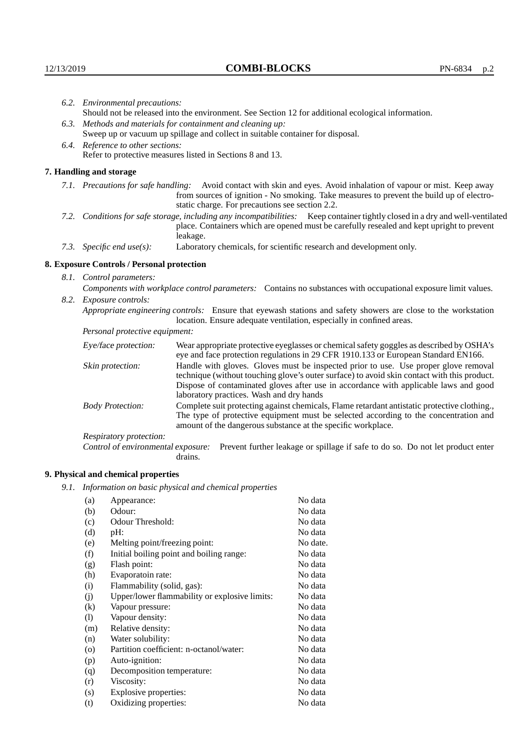|                                                             | 6.2. Environmental precautions:                                                                                                                                                                                                                                    |                                                                                                                                                                                                                                                                                                                        |  |  |  |
|-------------------------------------------------------------|--------------------------------------------------------------------------------------------------------------------------------------------------------------------------------------------------------------------------------------------------------------------|------------------------------------------------------------------------------------------------------------------------------------------------------------------------------------------------------------------------------------------------------------------------------------------------------------------------|--|--|--|
|                                                             | Should not be released into the environment. See Section 12 for additional ecological information.                                                                                                                                                                 |                                                                                                                                                                                                                                                                                                                        |  |  |  |
| 6.3. Methods and materials for containment and cleaning up: |                                                                                                                                                                                                                                                                    |                                                                                                                                                                                                                                                                                                                        |  |  |  |
|                                                             | Sweep up or vacuum up spillage and collect in suitable container for disposal.                                                                                                                                                                                     |                                                                                                                                                                                                                                                                                                                        |  |  |  |
|                                                             | 6.4. Reference to other sections:                                                                                                                                                                                                                                  |                                                                                                                                                                                                                                                                                                                        |  |  |  |
|                                                             | Refer to protective measures listed in Sections 8 and 13.                                                                                                                                                                                                          |                                                                                                                                                                                                                                                                                                                        |  |  |  |
|                                                             | 7. Handling and storage                                                                                                                                                                                                                                            |                                                                                                                                                                                                                                                                                                                        |  |  |  |
|                                                             | 7.1. Precautions for safe handling: Avoid contact with skin and eyes. Avoid inhalation of vapour or mist. Keep away<br>from sources of ignition - No smoking. Take measures to prevent the build up of electro-<br>static charge. For precautions see section 2.2. |                                                                                                                                                                                                                                                                                                                        |  |  |  |
|                                                             |                                                                                                                                                                                                                                                                    | 7.2. Conditions for safe storage, including any incompatibilities: Keep container tightly closed in a dry and well-ventilated<br>place. Containers which are opened must be carefully resealed and kept upright to prevent<br>leakage.                                                                                 |  |  |  |
|                                                             | 7.3. Specific end use(s):                                                                                                                                                                                                                                          | Laboratory chemicals, for scientific research and development only.                                                                                                                                                                                                                                                    |  |  |  |
|                                                             | 8. Exposure Controls / Personal protection                                                                                                                                                                                                                         |                                                                                                                                                                                                                                                                                                                        |  |  |  |
|                                                             | 8.1. Control parameters:                                                                                                                                                                                                                                           |                                                                                                                                                                                                                                                                                                                        |  |  |  |
|                                                             |                                                                                                                                                                                                                                                                    | Components with workplace control parameters: Contains no substances with occupational exposure limit values.                                                                                                                                                                                                          |  |  |  |
|                                                             | 8.2. Exposure controls:                                                                                                                                                                                                                                            |                                                                                                                                                                                                                                                                                                                        |  |  |  |
|                                                             |                                                                                                                                                                                                                                                                    | Appropriate engineering controls: Ensure that eyewash stations and safety showers are close to the workstation<br>location. Ensure adequate ventilation, especially in confined areas.                                                                                                                                 |  |  |  |
|                                                             | Personal protective equipment:                                                                                                                                                                                                                                     |                                                                                                                                                                                                                                                                                                                        |  |  |  |
|                                                             | Eye/face protection:                                                                                                                                                                                                                                               | Wear appropriate protective eyeglasses or chemical safety goggles as described by OSHA's<br>eye and face protection regulations in 29 CFR 1910.133 or European Standard EN166.                                                                                                                                         |  |  |  |
|                                                             | Skin protection:                                                                                                                                                                                                                                                   | Handle with gloves. Gloves must be inspected prior to use. Use proper glove removal<br>technique (without touching glove's outer surface) to avoid skin contact with this product.<br>Dispose of contaminated gloves after use in accordance with applicable laws and good<br>laboratory practices. Wash and dry hands |  |  |  |
|                                                             | <b>Body Protection:</b>                                                                                                                                                                                                                                            | Complete suit protecting against chemicals, Flame retardant antistatic protective clothing.,<br>The type of protective equipment must be selected according to the concentration and<br>amount of the dangerous substance at the specific workplace.                                                                   |  |  |  |
|                                                             | Respiratory protection:                                                                                                                                                                                                                                            |                                                                                                                                                                                                                                                                                                                        |  |  |  |

Control of environmental exposure: Prevent further leakage or spillage if safe to do so. Do not let product enter drains.

# **9. Physical and chemical properties**

*9.1. Information on basic physical and chemical properties*

| (a)      | Appearance:                                   | No data  |
|----------|-----------------------------------------------|----------|
| (b)      | Odour:                                        | No data  |
| (c)      | Odour Threshold:                              | No data  |
| (d)      | pH:                                           | No data  |
| (e)      | Melting point/freezing point:                 | No date. |
| (f)      | Initial boiling point and boiling range:      | No data  |
| (g)      | Flash point:                                  | No data  |
| (h)      | Evaporatoin rate:                             | No data  |
| (i)      | Flammability (solid, gas):                    | No data  |
| (i)      | Upper/lower flammability or explosive limits: | No data  |
| $\rm(k)$ | Vapour pressure:                              | No data  |
| (1)      | Vapour density:                               | No data  |
| (m)      | Relative density:                             | No data  |
| (n)      | Water solubility:                             | No data  |
| (0)      | Partition coefficient: n-octanol/water:       | No data  |
| (p)      | Auto-ignition:                                | No data  |
| (q)      | Decomposition temperature:                    | No data  |
| (r)      | Viscosity:                                    | No data  |
| (s)      | Explosive properties:                         | No data  |
| (t)      | Oxidizing properties:                         | No data  |